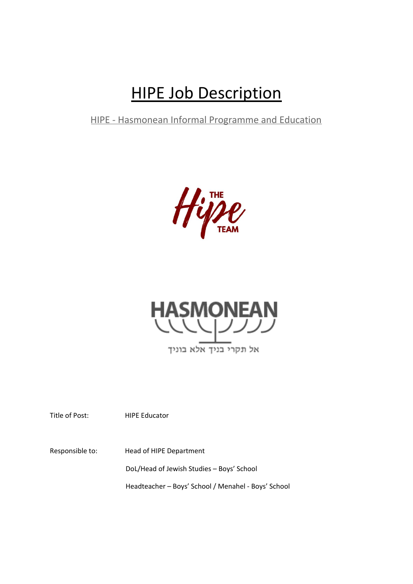## HIPE Job Description

## HIPE - Hasmonean Informal Programme and Education

**Figure** 



Title of Post: HIPE Educator

Responsible to: Head of HIPE Department

DoL/Head of Jewish Studies – Boys' School

Headteacher – Boys' School / Menahel - Boys' School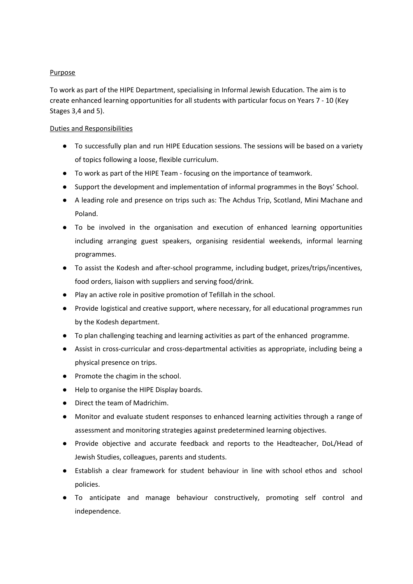## Purpose

To work as part of the HIPE Department, specialising in Informal Jewish Education. The aim is to create enhanced learning opportunities for all students with particular focus on Years 7 - 10 (Key Stages 3,4 and 5).

## Duties and Responsibilities

- To successfully plan and run HIPE Education sessions. The sessions will be based on a variety of topics following a loose, flexible curriculum.
- To work as part of the HIPE Team focusing on the importance of teamwork.
- Support the development and implementation of informal programmes in the Boys' School.
- A leading role and presence on trips such as: The Achdus Trip, Scotland, Mini Machane and Poland.
- To be involved in the organisation and execution of enhanced learning opportunities including arranging guest speakers, organising residential weekends, informal learning programmes.
- To assist the Kodesh and after-school programme, including budget, prizes/trips/incentives, food orders, liaison with suppliers and serving food/drink.
- Play an active role in positive promotion of Tefillah in the school.
- Provide logistical and creative support, where necessary, for all educational programmes run by the Kodesh department.
- To plan challenging teaching and learning activities as part of the enhanced programme.
- Assist in cross-curricular and cross-departmental activities as appropriate, including being a physical presence on trips.
- Promote the chagim in the school.
- Help to organise the HIPE Display boards.
- Direct the team of Madrichim.
- Monitor and evaluate student responses to enhanced learning activities through a range of assessment and monitoring strategies against predetermined learning objectives.
- Provide objective and accurate feedback and reports to the Headteacher, DoL/Head of Jewish Studies, colleagues, parents and students.
- Establish a clear framework for student behaviour in line with school ethos and school policies.
- To anticipate and manage behaviour constructively, promoting self control and independence.